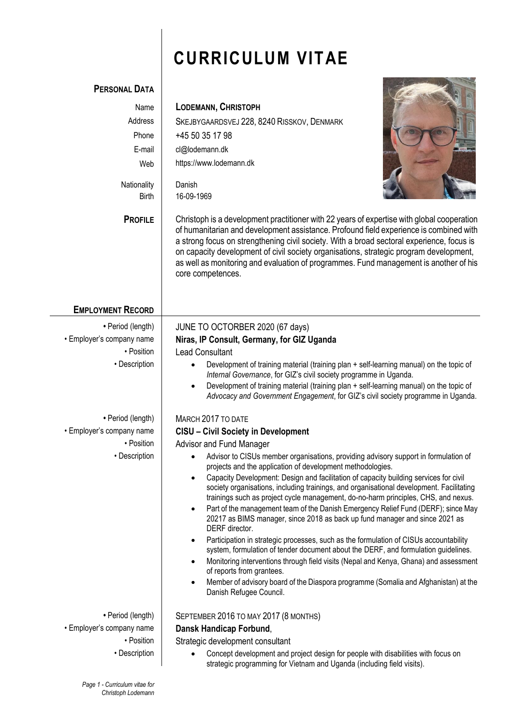# **CURRICULUM VITAE**

 $\lambda$ 

| <b>PERSONAL DATA</b>        |                                                                                                                                                                                                                                                                                                                                                                                                                                                                                           |
|-----------------------------|-------------------------------------------------------------------------------------------------------------------------------------------------------------------------------------------------------------------------------------------------------------------------------------------------------------------------------------------------------------------------------------------------------------------------------------------------------------------------------------------|
| Name                        | <b>LODEMANN, CHRISTOPH</b>                                                                                                                                                                                                                                                                                                                                                                                                                                                                |
| Address                     | SKEJBYGAARDSVEJ 228, 8240 RISSKOV, DENMARK                                                                                                                                                                                                                                                                                                                                                                                                                                                |
| Phone                       | +45 50 35 17 98                                                                                                                                                                                                                                                                                                                                                                                                                                                                           |
| E-mail                      | cl@lodemann.dk                                                                                                                                                                                                                                                                                                                                                                                                                                                                            |
| Web                         | https://www.lodemann.dk                                                                                                                                                                                                                                                                                                                                                                                                                                                                   |
|                             |                                                                                                                                                                                                                                                                                                                                                                                                                                                                                           |
| Nationality<br><b>Birth</b> | Danish<br>16-09-1969                                                                                                                                                                                                                                                                                                                                                                                                                                                                      |
|                             |                                                                                                                                                                                                                                                                                                                                                                                                                                                                                           |
| <b>PROFILE</b>              | Christoph is a development practitioner with 22 years of expertise with global cooperation<br>of humanitarian and development assistance. Profound field experience is combined with<br>a strong focus on strengthening civil society. With a broad sectoral experience, focus is<br>on capacity development of civil society organisations, strategic program development,<br>as well as monitoring and evaluation of programmes. Fund management is another of his<br>core competences. |
| <b>EMPLOYMENT RECORD</b>    |                                                                                                                                                                                                                                                                                                                                                                                                                                                                                           |
| • Period (length)           | JUNE TO OCTORBER 2020 (67 days)                                                                                                                                                                                                                                                                                                                                                                                                                                                           |
| • Employer's company name   | Niras, IP Consult, Germany, for GIZ Uganda                                                                                                                                                                                                                                                                                                                                                                                                                                                |
| • Position                  | <b>Lead Consultant</b>                                                                                                                                                                                                                                                                                                                                                                                                                                                                    |
| • Description               | Development of training material (training plan + self-learning manual) on the topic of<br>Internal Governance, for GIZ's civil society programme in Uganda.                                                                                                                                                                                                                                                                                                                              |
|                             | Development of training material (training plan + self-learning manual) on the topic of                                                                                                                                                                                                                                                                                                                                                                                                   |
|                             | Advocacy and Government Engagement, for GIZ's civil society programme in Uganda.                                                                                                                                                                                                                                                                                                                                                                                                          |
| • Period (length)           | MARCH 2017 TO DATE                                                                                                                                                                                                                                                                                                                                                                                                                                                                        |
| • Employer's company name   | <b>CISU - Civil Society in Development</b>                                                                                                                                                                                                                                                                                                                                                                                                                                                |
| • Position                  | Advisor and Fund Manager                                                                                                                                                                                                                                                                                                                                                                                                                                                                  |
| • Description               | Advisor to CISUs member organisations, providing advisory support in formulation of<br>projects and the application of development methodologies.                                                                                                                                                                                                                                                                                                                                         |
|                             | Capacity Development: Design and facilitation of capacity building services for civil<br>society organisations, including trainings, and organisational development. Facilitating<br>trainings such as project cycle management, do-no-harm principles, CHS, and nexus.                                                                                                                                                                                                                   |
|                             | Part of the management team of the Danish Emergency Relief Fund (DERF); since May<br>$\bullet$<br>20217 as BIMS manager, since 2018 as back up fund manager and since 2021 as<br>DERF director.                                                                                                                                                                                                                                                                                           |
|                             | Participation in strategic processes, such as the formulation of CISUs accountability<br>$\bullet$<br>system, formulation of tender document about the DERF, and formulation guidelines.                                                                                                                                                                                                                                                                                                  |
|                             | Monitoring interventions through field visits (Nepal and Kenya, Ghana) and assessment<br>$\bullet$<br>of reports from grantees.                                                                                                                                                                                                                                                                                                                                                           |
|                             | Member of advisory board of the Diaspora programme (Somalia and Afghanistan) at the<br>٠<br>Danish Refugee Council.                                                                                                                                                                                                                                                                                                                                                                       |
| • Period (length)           | SEPTEMBER 2016 TO MAY 2017 (8 MONTHS)                                                                                                                                                                                                                                                                                                                                                                                                                                                     |
| • Employer's company name   | Dansk Handicap Forbund,                                                                                                                                                                                                                                                                                                                                                                                                                                                                   |
| • Position                  | Strategic development consultant                                                                                                                                                                                                                                                                                                                                                                                                                                                          |
| • Description               | Concept development and project design for people with disabilities with focus on<br>strategic programming for Vietnam and Uganda (including field visits).                                                                                                                                                                                                                                                                                                                               |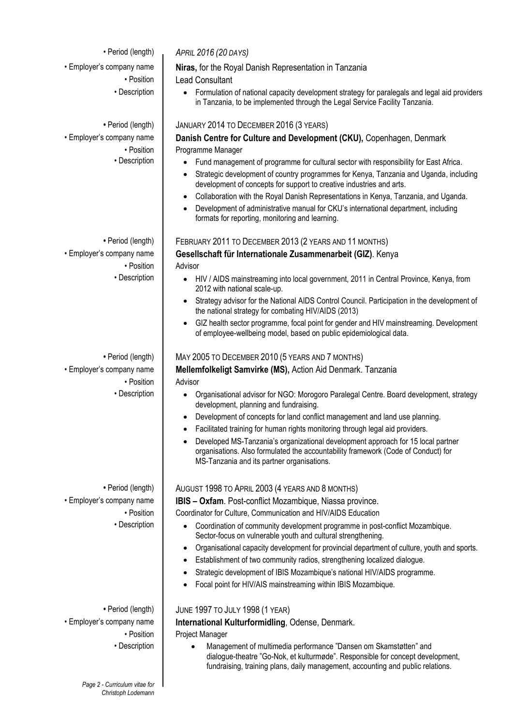• Period (length) *APRIL 2016 (20 DAYS)*

• Position • Description

• Employer's company name **Niras,** for the Royal Danish Representation in Tanzania

• Position | Lead Consultant

• Description  $\bullet$  Formulation of national capacity development strategy for paralegals and legal aid providers in Tanzania, to be implemented through the Legal Service Facility Tanzania.

#### **•** Period (length) JANUARY 2014 TO DECEMBER 2016 (3 YEARS)

• Employer's company name **Danish Centre for Culture and Development (CKU),** Copenhagen, Denmark Programme Manager

- Fund management of programme for cultural sector with responsibility for East Africa.
- Strategic development of country programmes for Kenya, Tanzania and Uganda, including development of concepts for support to creative industries and arts.
- Collaboration with the Royal Danish Representations in Kenya, Tanzania, and Uganda.
- Development of administrative manual for CKU's international department, including formats for reporting, monitoring and learning.

## • Period (length) FEBRUARY 2011 TO DECEMBER 2013 (2 YEARS AND 11 MONTHS)

• Employer's company name **Gesellschaft für Internationale Zusammenarbeit (GIZ)**. Kenya • Position | Advisor

- Description **Consert Conservation Conservation** into local government, 2011 in Central Province, Kenya, from 2012 with national scale-up.
	- Strategy advisor for the National AIDS Control Council. Participation in the development of the national strategy for combating HIV/AIDS (2013)
	- GIZ health sector programme, focal point for gender and HIV mainstreaming. Development of employee-wellbeing model, based on public epidemiological data.

### • Period (length) | MAY 2005 TO DECEMBER 2010 (5 YEARS AND 7 MONTHS)

• Employer's company name **Mellemfolkeligt Samvirke (MS),** Action Aid Denmark. Tanzania • Position | Advisor

- Description **Constant Communisational advisor for NGO:** Morogoro Paralegal Centre. Board development, strategy development, planning and fundraising.
	- Development of concepts for land conflict management and land use planning.
	- Facilitated training for human rights monitoring through legal aid providers.
	- Developed MS-Tanzania's organizational development approach for 15 local partner organisations. Also formulated the accountability framework (Code of Conduct) for MS-Tanzania and its partner organisations.

#### • Period (length) | AUGUST 1998 TO APRIL 2003 (4 YEARS AND 8 MONTHS)

• Employer's company name **IBIS – Oxfam**. Post-conflict Mozambique, Niassa province.

• Position | Coordinator for Culture, Communication and HIV/AIDS Education

- Description  $\Box$  Coordination of community development programme in post-conflict Mozambique. Sector-focus on vulnerable youth and cultural strengthening.
	- Organisational capacity development for provincial department of culture, youth and sports.
	- Establishment of two community radios, strengthening localized dialogue.
	- Strategic development of IBIS Mozambique's national HIV/AIDS programme.
	- Focal point for HIV/AIS mainstreaming within IBIS Mozambique.

#### • Period (length) **JUNE 1997 TO JULY 1998 (1 YEAR)**

• Employer's company name **International Kulturformidling**, Odense, Denmark.

• Position | Project Manager

• Description | • Management of multimedia performance "Dansen om Skamstøtten" and dialogue-theatre "Go-Nok, et kulturmøde". Responsible for concept development, fundraising, training plans, daily management, accounting and public relations.

*Page 2 - Curriculum vitae for Christoph Lodemann*